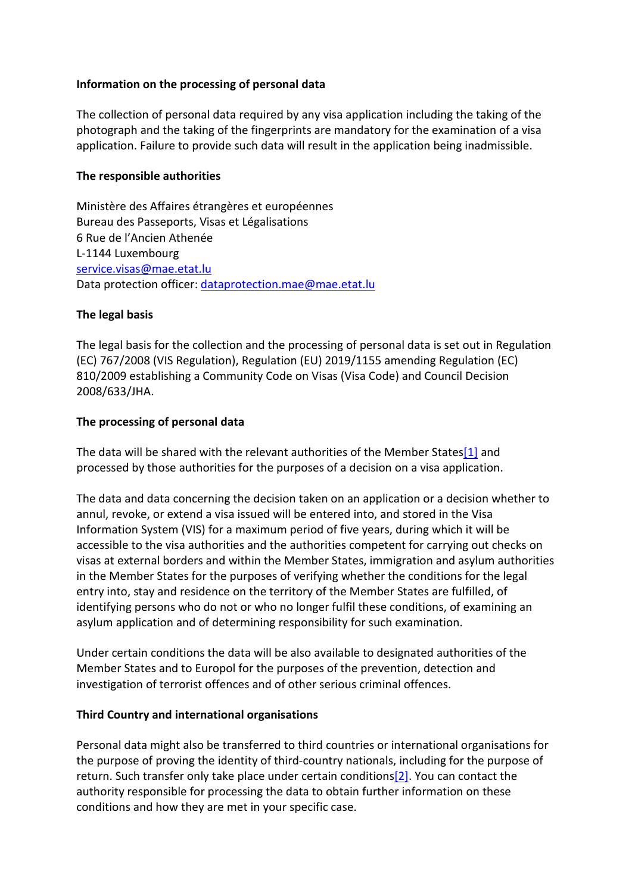## **Information on the processing of personal data**

The collection of personal data required by any visa application including the taking of the photograph and the taking of the fingerprints are mandatory for the examination of a visa application. Failure to provide such data will result in the application being inadmissible.

#### **The responsible authorities**

Ministère des Affaires étrangères et européennes Bureau des Passeports, Visas et Légalisations 6 Rue de l'Ancien Athenée L-1144 Luxembourg [service.visas@mae.etat.lu](mailto:service.visas@mae.etat.lu) Data protection officer: [dataprotection.mae@mae.etat.lu](mailto:dataprotection.mae@mae.etat.lu)

## **The legal basis**

The legal basis for the collection and the processing of personal data is set out in Regulation (EC) 767/2008 (VIS Regulation), Regulation (EU) 2019/1155 amending Regulation (EC) 810/2009 establishing a Community Code on Visas (Visa Code) and Council Decision 2008/633/JHA.

## **The processing of personal data**

The data will be shared with the relevant authorities of the Member States $[1]$  and processed by those authorities for the purposes of a decision on a visa application.

The data and data concerning the decision taken on an application or a decision whether to annul, revoke, or extend a visa issued will be entered into, and stored in the Visa Information System (VIS) for a maximum period of five years, during which it will be accessible to the visa authorities and the authorities competent for carrying out checks on visas at external borders and within the Member States, immigration and asylum authorities in the Member States for the purposes of verifying whether the conditions for the legal entry into, stay and residence on the territory of the Member States are fulfilled, of identifying persons who do not or who no longer fulfil these conditions, of examining an asylum application and of determining responsibility for such examination.

Under certain conditions the data will be also available to designated authorities of the Member States and to Europol for the purposes of the prevention, detection and investigation of terrorist offences and of other serious criminal offences.

#### **Third Country and international organisations**

Personal data might also be transferred to third countries or international organisations for the purpose of proving the identity of third-country nationals, including for the purpose of return. Such transfer only take place under certain condition[s\[2\].](https://maee.gouvernement.lu/en/services-aux-citoyens/visa-immigration.html#_ftn2) You can contact the authority responsible for processing the data to obtain further information on these conditions and how they are met in your specific case.